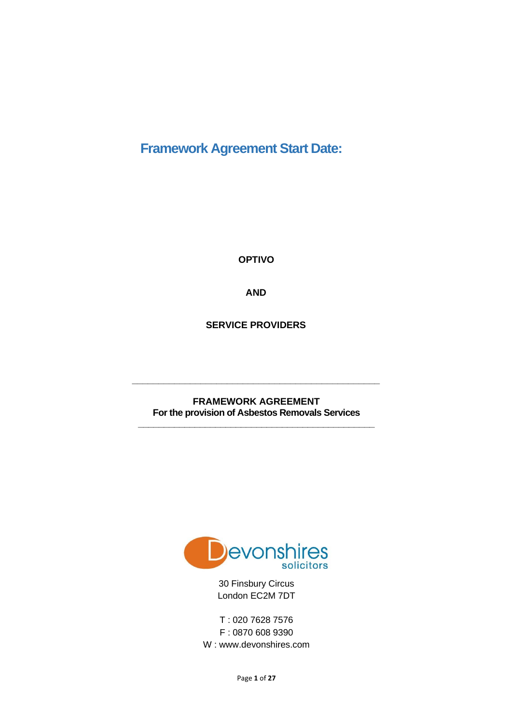# **Framework Agreement Start Date:**

**OPTIVO** 

**AND**

**SERVICE PROVIDERS**

**FRAMEWORK AGREEMENT For the provision of Asbestos Removals Services \_\_\_\_\_\_\_\_\_\_\_\_\_\_\_\_\_\_\_\_\_\_\_\_\_\_\_\_\_\_\_\_\_\_\_\_\_\_\_\_\_\_\_\_\_\_**

**\_\_\_\_\_\_\_\_\_\_\_\_\_\_\_\_\_\_\_\_\_\_\_\_\_\_\_\_\_\_\_\_\_\_\_\_\_\_\_\_\_\_\_\_\_\_\_**



30 Finsbury Circus London EC2M 7DT

T : 020 7628 7576 F : 0870 608 9390 W : www.devonshires.com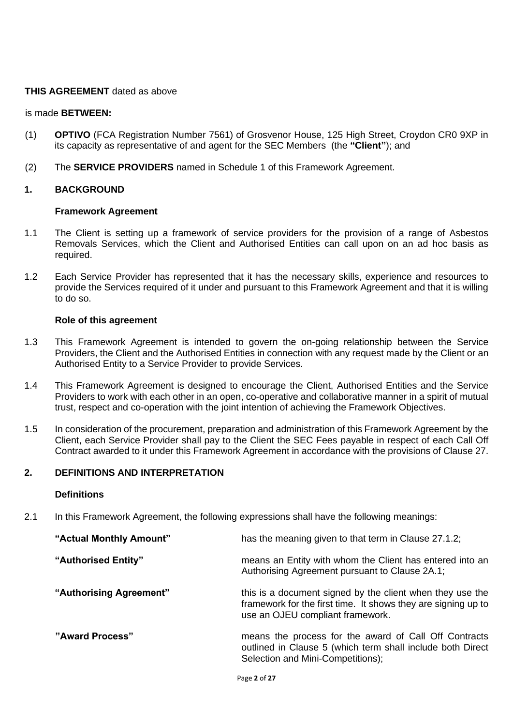#### **THIS AGREEMENT** dated as above

#### is made **BETWEEN:**

- (1) **OPTIVO** (FCA Registration Number 7561) of Grosvenor House, 125 High Street, Croydon CR0 9XP in its capacity as representative of and agent for the SEC Members (the **"Client"**); and
- (2) The **SERVICE PROVIDERS** named in Schedule 1 of this Framework Agreement.

#### **1. BACKGROUND**

#### **Framework Agreement**

- 1.1 The Client is setting up a framework of service providers for the provision of a range of Asbestos Removals Services, which the Client and Authorised Entities can call upon on an ad hoc basis as required.
- 1.2 Each Service Provider has represented that it has the necessary skills, experience and resources to provide the Services required of it under and pursuant to this Framework Agreement and that it is willing to do so.

#### **Role of this agreement**

- 1.3 This Framework Agreement is intended to govern the on-going relationship between the Service Providers, the Client and the Authorised Entities in connection with any request made by the Client or an Authorised Entity to a Service Provider to provide Services.
- 1.4 This Framework Agreement is designed to encourage the Client, Authorised Entities and the Service Providers to work with each other in an open, co-operative and collaborative manner in a spirit of mutual trust, respect and co-operation with the joint intention of achieving the Framework Objectives.
- 1.5 In consideration of the procurement, preparation and administration of this Framework Agreement by the Client, each Service Provider shall pay to the Client the SEC Fees payable in respect of each Call Off Contract awarded to it under this Framework Agreement in accordance with the provisions of Clause 27.

# **2. DEFINITIONS AND INTERPRETATION**

#### **Definitions**

2.1 In this Framework Agreement, the following expressions shall have the following meanings:

| "Actual Monthly Amount" | has the meaning given to that term in Clause 27.1.2;                                                                                                           |
|-------------------------|----------------------------------------------------------------------------------------------------------------------------------------------------------------|
| "Authorised Entity"     | means an Entity with whom the Client has entered into an<br>Authorising Agreement pursuant to Clause 2A.1;                                                     |
| "Authorising Agreement" | this is a document signed by the client when they use the<br>framework for the first time. It shows they are signing up to<br>use an OJEU compliant framework. |
| "Award Process"         | means the process for the award of Call Off Contracts<br>outlined in Clause 5 (which term shall include both Direct<br>Selection and Mini-Competitions);       |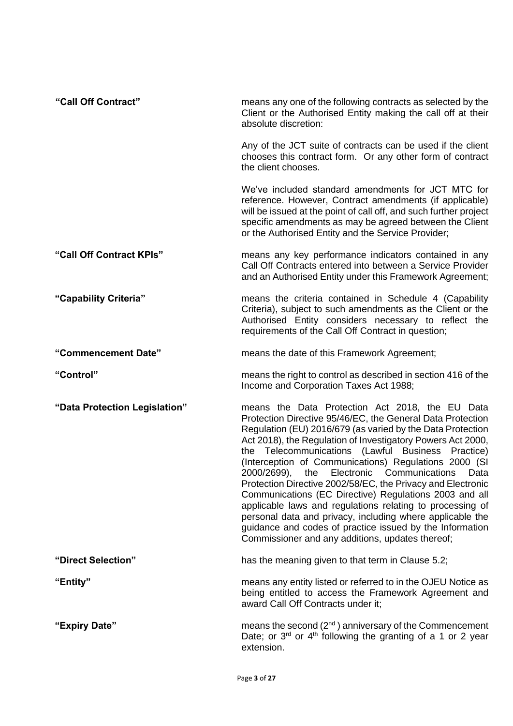| "Call Off Contract"           | means any one of the following contracts as selected by the<br>Client or the Authorised Entity making the call off at their<br>absolute discretion:                                                                                                                                                                                                                                                                                                                                                                                                                                                                                                                                                                                                                              |
|-------------------------------|----------------------------------------------------------------------------------------------------------------------------------------------------------------------------------------------------------------------------------------------------------------------------------------------------------------------------------------------------------------------------------------------------------------------------------------------------------------------------------------------------------------------------------------------------------------------------------------------------------------------------------------------------------------------------------------------------------------------------------------------------------------------------------|
|                               | Any of the JCT suite of contracts can be used if the client<br>chooses this contract form. Or any other form of contract<br>the client chooses.                                                                                                                                                                                                                                                                                                                                                                                                                                                                                                                                                                                                                                  |
|                               | We've included standard amendments for JCT MTC for<br>reference. However, Contract amendments (if applicable)<br>will be issued at the point of call off, and such further project<br>specific amendments as may be agreed between the Client<br>or the Authorised Entity and the Service Provider;                                                                                                                                                                                                                                                                                                                                                                                                                                                                              |
| "Call Off Contract KPIs"      | means any key performance indicators contained in any<br>Call Off Contracts entered into between a Service Provider<br>and an Authorised Entity under this Framework Agreement;                                                                                                                                                                                                                                                                                                                                                                                                                                                                                                                                                                                                  |
| "Capability Criteria"         | means the criteria contained in Schedule 4 (Capability<br>Criteria), subject to such amendments as the Client or the<br>Authorised Entity considers necessary to reflect the<br>requirements of the Call Off Contract in question;                                                                                                                                                                                                                                                                                                                                                                                                                                                                                                                                               |
| "Commencement Date"           | means the date of this Framework Agreement;                                                                                                                                                                                                                                                                                                                                                                                                                                                                                                                                                                                                                                                                                                                                      |
| "Control"                     | means the right to control as described in section 416 of the<br>Income and Corporation Taxes Act 1988;                                                                                                                                                                                                                                                                                                                                                                                                                                                                                                                                                                                                                                                                          |
| "Data Protection Legislation" | means the Data Protection Act 2018, the EU Data<br>Protection Directive 95/46/EC, the General Data Protection<br>Regulation (EU) 2016/679 (as varied by the Data Protection<br>Act 2018), the Regulation of Investigatory Powers Act 2000,<br>the Telecommunications (Lawful Business Practice)<br>(Interception of Communications) Regulations 2000 (SI<br>2000/2699), the Electronic Communications<br>Data<br>Protection Directive 2002/58/EC, the Privacy and Electronic<br>Communications (EC Directive) Regulations 2003 and all<br>applicable laws and regulations relating to processing of<br>personal data and privacy, including where applicable the<br>guidance and codes of practice issued by the Information<br>Commissioner and any additions, updates thereof; |
| "Direct Selection"            | has the meaning given to that term in Clause 5.2;                                                                                                                                                                                                                                                                                                                                                                                                                                                                                                                                                                                                                                                                                                                                |
| "Entity"                      | means any entity listed or referred to in the OJEU Notice as<br>being entitled to access the Framework Agreement and<br>award Call Off Contracts under it;                                                                                                                                                                                                                                                                                                                                                                                                                                                                                                                                                                                                                       |
| "Expiry Date"                 | means the second $(2^{nd})$ anniversary of the Commencement<br>Date; or $3^{rd}$ or $4^{th}$ following the granting of a 1 or 2 year<br>extension.                                                                                                                                                                                                                                                                                                                                                                                                                                                                                                                                                                                                                               |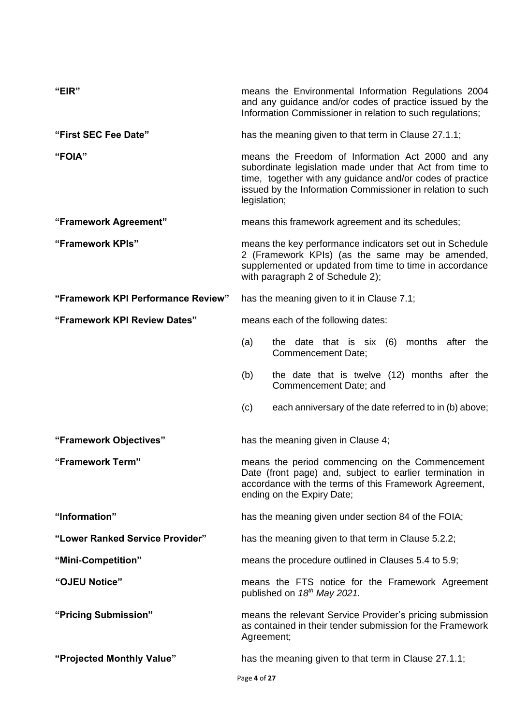| "EIR"                              | means the Environmental Information Regulations 2004<br>and any guidance and/or codes of practice issued by the<br>Information Commissioner in relation to such regulations;                                                                             |  |
|------------------------------------|----------------------------------------------------------------------------------------------------------------------------------------------------------------------------------------------------------------------------------------------------------|--|
| "First SEC Fee Date"               | has the meaning given to that term in Clause 27.1.1;                                                                                                                                                                                                     |  |
| "FOIA"                             | means the Freedom of Information Act 2000 and any<br>subordinate legislation made under that Act from time to<br>time, together with any guidance and/or codes of practice<br>issued by the Information Commissioner in relation to such<br>legislation; |  |
| "Framework Agreement"              | means this framework agreement and its schedules;                                                                                                                                                                                                        |  |
| "Framework KPIs"                   | means the key performance indicators set out in Schedule<br>2 (Framework KPIs) (as the same may be amended,<br>supplemented or updated from time to time in accordance<br>with paragraph 2 of Schedule 2);                                               |  |
| "Framework KPI Performance Review" | has the meaning given to it in Clause 7.1;                                                                                                                                                                                                               |  |
| "Framework KPI Review Dates"       | means each of the following dates:                                                                                                                                                                                                                       |  |
|                                    | the date that is six (6)<br>months after<br>(a)<br>the<br>Commencement Date;                                                                                                                                                                             |  |
|                                    | the date that is twelve (12) months after the<br>(b)<br>Commencement Date; and                                                                                                                                                                           |  |
|                                    | (c)<br>each anniversary of the date referred to in (b) above;                                                                                                                                                                                            |  |
| "Framework Objectives"             | has the meaning given in Clause 4;                                                                                                                                                                                                                       |  |
| "Framework Term"                   | means the period commencing on the Commencement<br>Date (front page) and, subject to earlier termination in<br>accordance with the terms of this Framework Agreement,<br>ending on the Expiry Date;                                                      |  |
| "Information"                      | has the meaning given under section 84 of the FOIA;                                                                                                                                                                                                      |  |
| "Lower Ranked Service Provider"    | has the meaning given to that term in Clause 5.2.2;                                                                                                                                                                                                      |  |
| "Mini-Competition"                 | means the procedure outlined in Clauses 5.4 to 5.9;                                                                                                                                                                                                      |  |
| "OJEU Notice"                      | means the FTS notice for the Framework Agreement<br>published on 18 <sup>th</sup> May 2021.                                                                                                                                                              |  |
| "Pricing Submission"               | means the relevant Service Provider's pricing submission<br>as contained in their tender submission for the Framework<br>Agreement;                                                                                                                      |  |
| "Projected Monthly Value"          | has the meaning given to that term in Clause 27.1.1;                                                                                                                                                                                                     |  |
|                                    | Page 4 of 27                                                                                                                                                                                                                                             |  |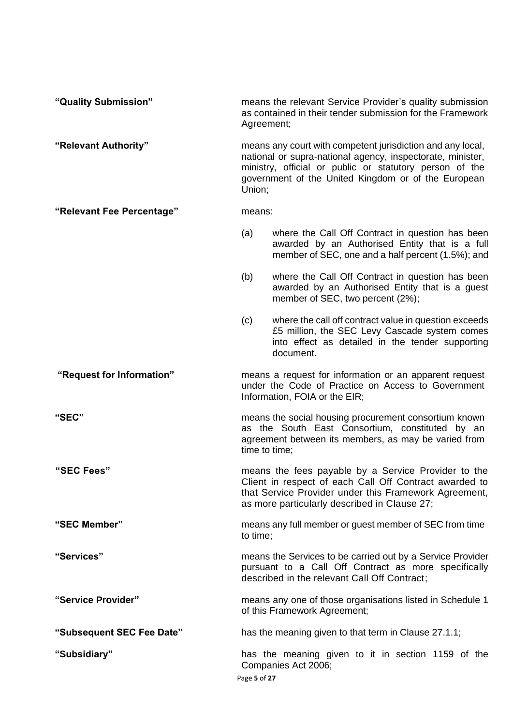| "Quality Submission"      | means the relevant Service Provider's quality submission<br>as contained in their tender submission for the Framework<br>Agreement;                                                                                                                  |                                                                                                                                                                         |
|---------------------------|------------------------------------------------------------------------------------------------------------------------------------------------------------------------------------------------------------------------------------------------------|-------------------------------------------------------------------------------------------------------------------------------------------------------------------------|
| "Relevant Authority"      | means any court with competent jurisdiction and any local,<br>national or supra-national agency, inspectorate, minister,<br>ministry, official or public or statutory person of the<br>government of the United Kingdom or of the European<br>Union; |                                                                                                                                                                         |
| "Relevant Fee Percentage" | means:                                                                                                                                                                                                                                               |                                                                                                                                                                         |
|                           | (a)                                                                                                                                                                                                                                                  | where the Call Off Contract in question has been<br>awarded by an Authorised Entity that is a full<br>member of SEC, one and a half percent (1.5%); and                 |
|                           | (b)                                                                                                                                                                                                                                                  | where the Call Off Contract in question has been<br>awarded by an Authorised Entity that is a guest<br>member of SEC, two percent (2%);                                 |
|                           | (c)                                                                                                                                                                                                                                                  | where the call off contract value in question exceeds<br>£5 million, the SEC Levy Cascade system comes<br>into effect as detailed in the tender supporting<br>document. |
| "Request for Information" | means a request for information or an apparent request<br>under the Code of Practice on Access to Government<br>Information, FOIA or the EIR;                                                                                                        |                                                                                                                                                                         |
| "SEC"                     | means the social housing procurement consortium known<br>as the South East Consortium, constituted by an<br>agreement between its members, as may be varied from<br>time to time;                                                                    |                                                                                                                                                                         |
| "SEC Fees"                | means the fees payable by a Service Provider to the<br>Client in respect of each Call Off Contract awarded to<br>that Service Provider under this Framework Agreement,<br>as more particularly described in Clause 27;                               |                                                                                                                                                                         |
| "SEC Member"              | means any full member or guest member of SEC from time<br>to time;                                                                                                                                                                                   |                                                                                                                                                                         |
| "Services"                | means the Services to be carried out by a Service Provider<br>pursuant to a Call Off Contract as more specifically<br>described in the relevant Call Off Contract;                                                                                   |                                                                                                                                                                         |
| "Service Provider"        | means any one of those organisations listed in Schedule 1<br>of this Framework Agreement;                                                                                                                                                            |                                                                                                                                                                         |
| "Subsequent SEC Fee Date" |                                                                                                                                                                                                                                                      | has the meaning given to that term in Clause 27.1.1;                                                                                                                    |
| "Subsidiary"              | has the meaning given to it in section 1159 of the<br>Companies Act 2006;<br>Page 5 of 27                                                                                                                                                            |                                                                                                                                                                         |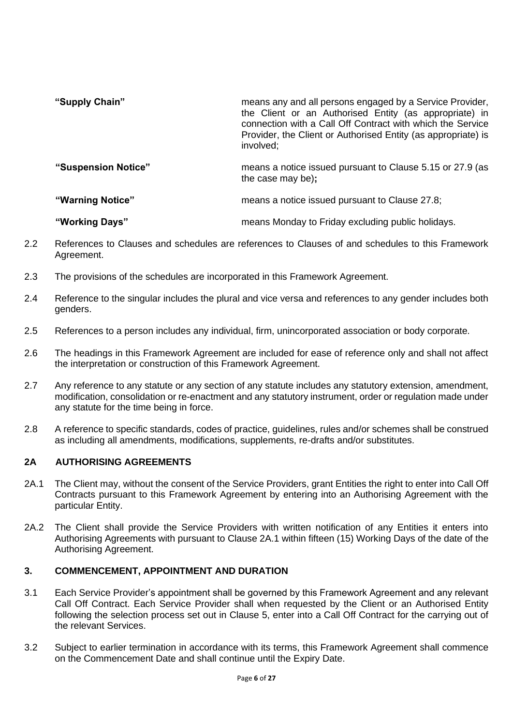| "Supply Chain"      | means any and all persons engaged by a Service Provider,<br>the Client or an Authorised Entity (as appropriate) in<br>connection with a Call Off Contract with which the Service<br>Provider, the Client or Authorised Entity (as appropriate) is<br>involved; |
|---------------------|----------------------------------------------------------------------------------------------------------------------------------------------------------------------------------------------------------------------------------------------------------------|
| "Suspension Notice" | means a notice issued pursuant to Clause 5.15 or 27.9 (as<br>the case may be);                                                                                                                                                                                 |
| "Warning Notice"    | means a notice issued pursuant to Clause 27.8;                                                                                                                                                                                                                 |

2.2 References to Clauses and schedules are references to Clauses of and schedules to this Framework Agreement.

**"Working Days"** means Monday to Friday excluding public holidays.

- 2.3 The provisions of the schedules are incorporated in this Framework Agreement.
- 2.4 Reference to the singular includes the plural and vice versa and references to any gender includes both genders.
- 2.5 References to a person includes any individual, firm, unincorporated association or body corporate.
- 2.6 The headings in this Framework Agreement are included for ease of reference only and shall not affect the interpretation or construction of this Framework Agreement.
- 2.7 Any reference to any statute or any section of any statute includes any statutory extension, amendment, modification, consolidation or re-enactment and any statutory instrument, order or regulation made under any statute for the time being in force.
- 2.8 A reference to specific standards, codes of practice, guidelines, rules and/or schemes shall be construed as including all amendments, modifications, supplements, re-drafts and/or substitutes.

# **2A AUTHORISING AGREEMENTS**

- 2A.1 The Client may, without the consent of the Service Providers, grant Entities the right to enter into Call Off Contracts pursuant to this Framework Agreement by entering into an Authorising Agreement with the particular Entity.
- 2A.2 The Client shall provide the Service Providers with written notification of any Entities it enters into Authorising Agreements with pursuant to Clause 2A.1 within fifteen (15) Working Days of the date of the Authorising Agreement.

## **3. COMMENCEMENT, APPOINTMENT AND DURATION**

- 3.1 Each Service Provider's appointment shall be governed by this Framework Agreement and any relevant Call Off Contract. Each Service Provider shall when requested by the Client or an Authorised Entity following the selection process set out in Clause 5, enter into a Call Off Contract for the carrying out of the relevant Services.
- 3.2 Subject to earlier termination in accordance with its terms, this Framework Agreement shall commence on the Commencement Date and shall continue until the Expiry Date.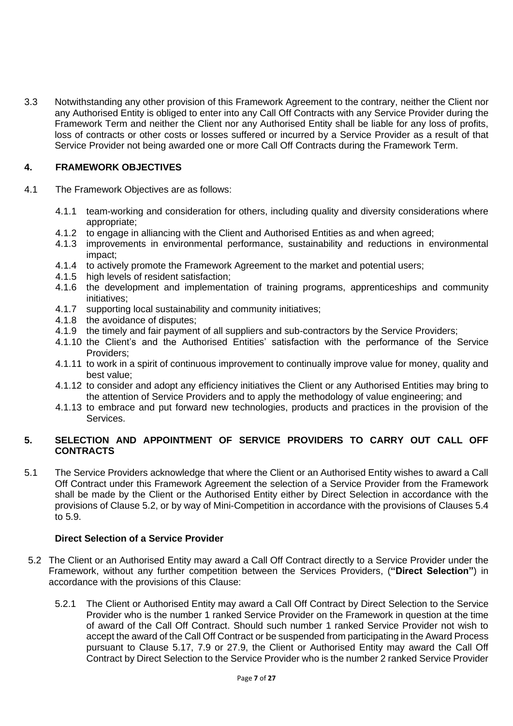3.3 Notwithstanding any other provision of this Framework Agreement to the contrary, neither the Client nor any Authorised Entity is obliged to enter into any Call Off Contracts with any Service Provider during the Framework Term and neither the Client nor any Authorised Entity shall be liable for any loss of profits, loss of contracts or other costs or losses suffered or incurred by a Service Provider as a result of that Service Provider not being awarded one or more Call Off Contracts during the Framework Term.

# **4. FRAMEWORK OBJECTIVES**

- 4.1 The Framework Objectives are as follows:
	- 4.1.1 team-working and consideration for others, including quality and diversity considerations where appropriate;
	- 4.1.2 to engage in alliancing with the Client and Authorised Entities as and when agreed;
	- 4.1.3 improvements in environmental performance, sustainability and reductions in environmental impact;
	- 4.1.4 to actively promote the Framework Agreement to the market and potential users;
	- 4.1.5 high levels of resident satisfaction;
	- 4.1.6 the development and implementation of training programs, apprenticeships and community initiatives;
	- 4.1.7 supporting local sustainability and community initiatives;
	- 4.1.8 the avoidance of disputes;
	- 4.1.9 the timely and fair payment of all suppliers and sub-contractors by the Service Providers;
	- 4.1.10 the Client's and the Authorised Entities' satisfaction with the performance of the Service Providers;
	- 4.1.11 to work in a spirit of continuous improvement to continually improve value for money, quality and best value;
	- 4.1.12 to consider and adopt any efficiency initiatives the Client or any Authorised Entities may bring to the attention of Service Providers and to apply the methodology of value engineering; and
	- 4.1.13 to embrace and put forward new technologies, products and practices in the provision of the Services.

# **5. SELECTION AND APPOINTMENT OF SERVICE PROVIDERS TO CARRY OUT CALL OFF CONTRACTS**

5.1 The Service Providers acknowledge that where the Client or an Authorised Entity wishes to award a Call Off Contract under this Framework Agreement the selection of a Service Provider from the Framework shall be made by the Client or the Authorised Entity either by Direct Selection in accordance with the provisions of Clause 5.2, or by way of Mini-Competition in accordance with the provisions of Clauses 5.4 to 5.9.

## **Direct Selection of a Service Provider**

- 5.2 The Client or an Authorised Entity may award a Call Off Contract directly to a Service Provider under the Framework, without any further competition between the Services Providers, (**"Direct Selection"**) in accordance with the provisions of this Clause:
	- 5.2.1 The Client or Authorised Entity may award a Call Off Contract by Direct Selection to the Service Provider who is the number 1 ranked Service Provider on the Framework in question at the time of award of the Call Off Contract. Should such number 1 ranked Service Provider not wish to accept the award of the Call Off Contract or be suspended from participating in the Award Process pursuant to Clause 5.17, 7.9 or 27.9, the Client or Authorised Entity may award the Call Off Contract by Direct Selection to the Service Provider who is the number 2 ranked Service Provider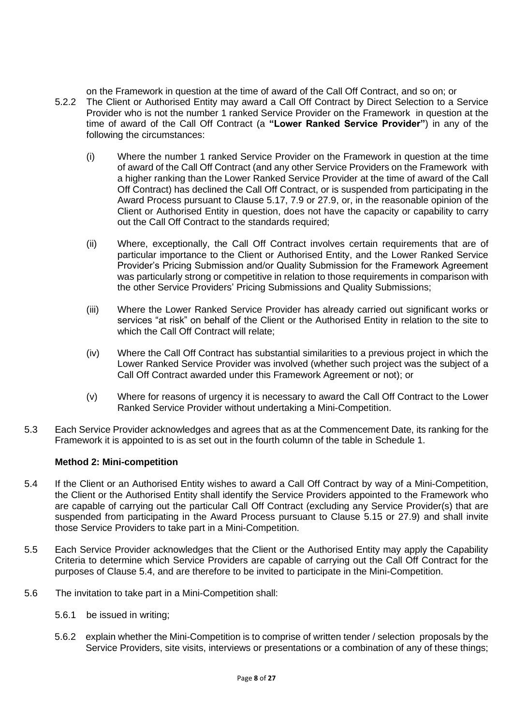on the Framework in question at the time of award of the Call Off Contract, and so on; or 5.2.2 The Client or Authorised Entity may award a Call Off Contract by Direct Selection to a Service Provider who is not the number 1 ranked Service Provider on the Framework in question at the time of award of the Call Off Contract (a **"Lower Ranked Service Provider"**) in any of the following the circumstances:

- (i) Where the number 1 ranked Service Provider on the Framework in question at the time of award of the Call Off Contract (and any other Service Providers on the Framework with a higher ranking than the Lower Ranked Service Provider at the time of award of the Call Off Contract) has declined the Call Off Contract, or is suspended from participating in the Award Process pursuant to Clause 5.17, 7.9 or 27.9, or, in the reasonable opinion of the Client or Authorised Entity in question, does not have the capacity or capability to carry out the Call Off Contract to the standards required;
- (ii) Where, exceptionally, the Call Off Contract involves certain requirements that are of particular importance to the Client or Authorised Entity, and the Lower Ranked Service Provider's Pricing Submission and/or Quality Submission for the Framework Agreement was particularly strong or competitive in relation to those requirements in comparison with the other Service Providers' Pricing Submissions and Quality Submissions;
- (iii) Where the Lower Ranked Service Provider has already carried out significant works or services "at risk" on behalf of the Client or the Authorised Entity in relation to the site to which the Call Off Contract will relate;
- (iv) Where the Call Off Contract has substantial similarities to a previous project in which the Lower Ranked Service Provider was involved (whether such project was the subject of a Call Off Contract awarded under this Framework Agreement or not); or
- (v) Where for reasons of urgency it is necessary to award the Call Off Contract to the Lower Ranked Service Provider without undertaking a Mini-Competition.
- 5.3 Each Service Provider acknowledges and agrees that as at the Commencement Date, its ranking for the Framework it is appointed to is as set out in the fourth column of the table in Schedule 1.

## **Method 2: Mini-competition**

- 5.4 If the Client or an Authorised Entity wishes to award a Call Off Contract by way of a Mini-Competition, the Client or the Authorised Entity shall identify the Service Providers appointed to the Framework who are capable of carrying out the particular Call Off Contract (excluding any Service Provider(s) that are suspended from participating in the Award Process pursuant to Clause 5.15 or 27.9) and shall invite those Service Providers to take part in a Mini-Competition.
- 5.5 Each Service Provider acknowledges that the Client or the Authorised Entity may apply the Capability Criteria to determine which Service Providers are capable of carrying out the Call Off Contract for the purposes of Clause 5.4, and are therefore to be invited to participate in the Mini-Competition.
- 5.6 The invitation to take part in a Mini-Competition shall:
	- 5.6.1 be issued in writing;
	- 5.6.2 explain whether the Mini-Competition is to comprise of written tender / selection proposals by the Service Providers, site visits, interviews or presentations or a combination of any of these things;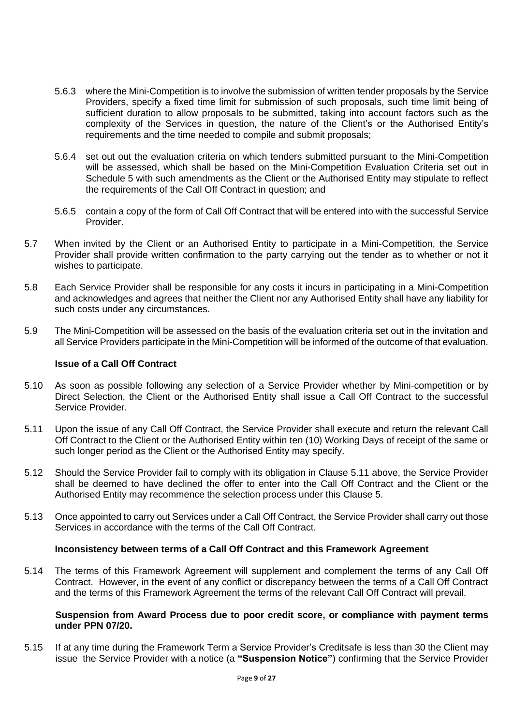- 5.6.3 where the Mini-Competition is to involve the submission of written tender proposals by the Service Providers, specify a fixed time limit for submission of such proposals, such time limit being of sufficient duration to allow proposals to be submitted, taking into account factors such as the complexity of the Services in question, the nature of the Client's or the Authorised Entity's requirements and the time needed to compile and submit proposals;
- 5.6.4 set out out the evaluation criteria on which tenders submitted pursuant to the Mini-Competition will be assessed, which shall be based on the Mini-Competition Evaluation Criteria set out in Schedule 5 with such amendments as the Client or the Authorised Entity may stipulate to reflect the requirements of the Call Off Contract in question; and
- 5.6.5 contain a copy of the form of Call Off Contract that will be entered into with the successful Service Provider.
- 5.7 When invited by the Client or an Authorised Entity to participate in a Mini-Competition, the Service Provider shall provide written confirmation to the party carrying out the tender as to whether or not it wishes to participate.
- 5.8 Each Service Provider shall be responsible for any costs it incurs in participating in a Mini-Competition and acknowledges and agrees that neither the Client nor any Authorised Entity shall have any liability for such costs under any circumstances.
- 5.9 The Mini-Competition will be assessed on the basis of the evaluation criteria set out in the invitation and all Service Providers participate in the Mini-Competition will be informed of the outcome of that evaluation.

#### **Issue of a Call Off Contract**

- 5.10 As soon as possible following any selection of a Service Provider whether by Mini-competition or by Direct Selection, the Client or the Authorised Entity shall issue a Call Off Contract to the successful Service Provider.
- 5.11 Upon the issue of any Call Off Contract, the Service Provider shall execute and return the relevant Call Off Contract to the Client or the Authorised Entity within ten (10) Working Days of receipt of the same or such longer period as the Client or the Authorised Entity may specify.
- 5.12 Should the Service Provider fail to comply with its obligation in Clause 5.11 above, the Service Provider shall be deemed to have declined the offer to enter into the Call Off Contract and the Client or the Authorised Entity may recommence the selection process under this Clause 5.
- 5.13 Once appointed to carry out Services under a Call Off Contract, the Service Provider shall carry out those Services in accordance with the terms of the Call Off Contract.

#### **Inconsistency between terms of a Call Off Contract and this Framework Agreement**

5.14 The terms of this Framework Agreement will supplement and complement the terms of any Call Off Contract. However, in the event of any conflict or discrepancy between the terms of a Call Off Contract and the terms of this Framework Agreement the terms of the relevant Call Off Contract will prevail.

#### **Suspension from Award Process due to poor credit score, or compliance with payment terms under PPN 07/20.**

5.15 If at any time during the Framework Term a Service Provider's Creditsafe is less than 30 the Client may issue the Service Provider with a notice (a **"Suspension Notice"**) confirming that the Service Provider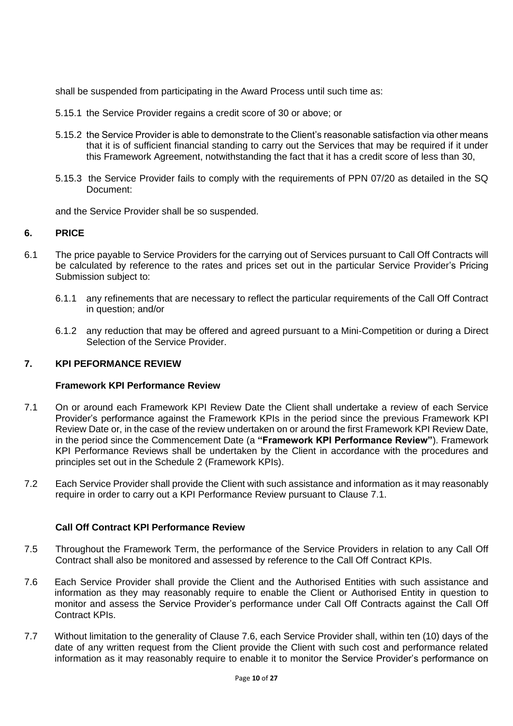shall be suspended from participating in the Award Process until such time as:

- 5.15.1 the Service Provider regains a credit score of 30 or above; or
- 5.15.2 the Service Provider is able to demonstrate to the Client's reasonable satisfaction via other means that it is of sufficient financial standing to carry out the Services that may be required if it under this Framework Agreement, notwithstanding the fact that it has a credit score of less than 30,
- 5.15.3 the Service Provider fails to comply with the requirements of PPN 07/20 as detailed in the SQ Document:

and the Service Provider shall be so suspended.

## **6. PRICE**

- 6.1 The price payable to Service Providers for the carrying out of Services pursuant to Call Off Contracts will be calculated by reference to the rates and prices set out in the particular Service Provider's Pricing Submission subject to:
	- 6.1.1 any refinements that are necessary to reflect the particular requirements of the Call Off Contract in question; and/or
	- 6.1.2 any reduction that may be offered and agreed pursuant to a Mini-Competition or during a Direct Selection of the Service Provider.

## **7. KPI PEFORMANCE REVIEW**

#### **Framework KPI Performance Review**

- 7.1 On or around each Framework KPI Review Date the Client shall undertake a review of each Service Provider's performance against the Framework KPIs in the period since the previous Framework KPI Review Date or, in the case of the review undertaken on or around the first Framework KPI Review Date, in the period since the Commencement Date (a **"Framework KPI Performance Review"**). Framework KPI Performance Reviews shall be undertaken by the Client in accordance with the procedures and principles set out in the Schedule 2 (Framework KPIs).
- 7.2 Each Service Provider shall provide the Client with such assistance and information as it may reasonably require in order to carry out a KPI Performance Review pursuant to Clause 7.1.

## **Call Off Contract KPI Performance Review**

- 7.5 Throughout the Framework Term, the performance of the Service Providers in relation to any Call Off Contract shall also be monitored and assessed by reference to the Call Off Contract KPIs.
- 7.6 Each Service Provider shall provide the Client and the Authorised Entities with such assistance and information as they may reasonably require to enable the Client or Authorised Entity in question to monitor and assess the Service Provider's performance under Call Off Contracts against the Call Off Contract KPIs.
- 7.7 Without limitation to the generality of Clause 7.6, each Service Provider shall, within ten (10) days of the date of any written request from the Client provide the Client with such cost and performance related information as it may reasonably require to enable it to monitor the Service Provider's performance on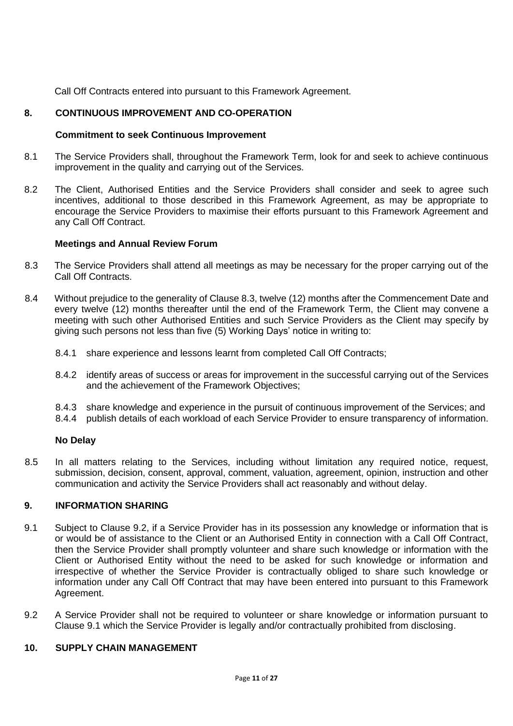Call Off Contracts entered into pursuant to this Framework Agreement.

# **8. CONTINUOUS IMPROVEMENT AND CO-OPERATION**

## **Commitment to seek Continuous Improvement**

- 8.1 The Service Providers shall, throughout the Framework Term, look for and seek to achieve continuous improvement in the quality and carrying out of the Services.
- 8.2 The Client, Authorised Entities and the Service Providers shall consider and seek to agree such incentives, additional to those described in this Framework Agreement, as may be appropriate to encourage the Service Providers to maximise their efforts pursuant to this Framework Agreement and any Call Off Contract.

#### **Meetings and Annual Review Forum**

- 8.3 The Service Providers shall attend all meetings as may be necessary for the proper carrying out of the Call Off Contracts.
- 8.4 Without prejudice to the generality of Clause 8.3, twelve (12) months after the Commencement Date and every twelve (12) months thereafter until the end of the Framework Term, the Client may convene a meeting with such other Authorised Entities and such Service Providers as the Client may specify by giving such persons not less than five (5) Working Days' notice in writing to:
	- 8.4.1 share experience and lessons learnt from completed Call Off Contracts;
	- 8.4.2 identify areas of success or areas for improvement in the successful carrying out of the Services and the achievement of the Framework Objectives;
	- 8.4.3 share knowledge and experience in the pursuit of continuous improvement of the Services; and
	- 8.4.4 publish details of each workload of each Service Provider to ensure transparency of information.

#### **No Delay**

8.5 In all matters relating to the Services, including without limitation any required notice, request, submission, decision, consent, approval, comment, valuation, agreement, opinion, instruction and other communication and activity the Service Providers shall act reasonably and without delay.

# **9. INFORMATION SHARING**

- 9.1 Subject to Clause 9.2, if a Service Provider has in its possession any knowledge or information that is or would be of assistance to the Client or an Authorised Entity in connection with a Call Off Contract, then the Service Provider shall promptly volunteer and share such knowledge or information with the Client or Authorised Entity without the need to be asked for such knowledge or information and irrespective of whether the Service Provider is contractually obliged to share such knowledge or information under any Call Off Contract that may have been entered into pursuant to this Framework Agreement.
- 9.2 A Service Provider shall not be required to volunteer or share knowledge or information pursuant to Clause 9.1 which the Service Provider is legally and/or contractually prohibited from disclosing.

# **10. SUPPLY CHAIN MANAGEMENT**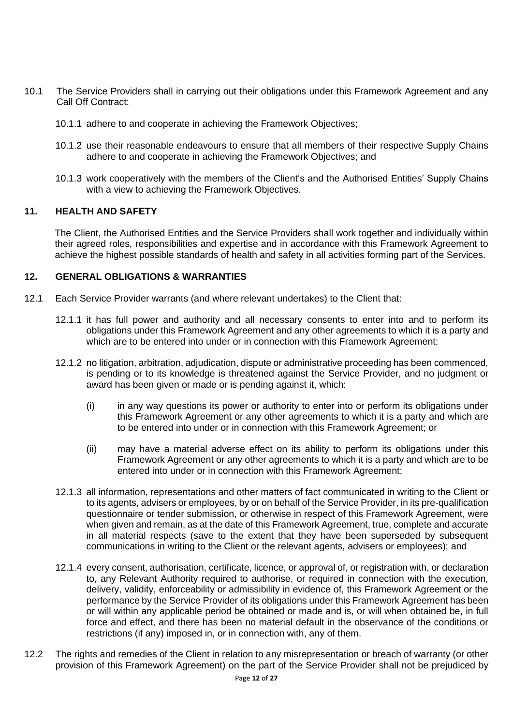- 10.1 The Service Providers shall in carrying out their obligations under this Framework Agreement and any Call Off Contract:
	- 10.1.1 adhere to and cooperate in achieving the Framework Objectives;
	- 10.1.2 use their reasonable endeavours to ensure that all members of their respective Supply Chains adhere to and cooperate in achieving the Framework Objectives; and
	- 10.1.3 work cooperatively with the members of the Client's and the Authorised Entities' Supply Chains with a view to achieving the Framework Objectives.

#### **11. HEALTH AND SAFETY**

The Client, the Authorised Entities and the Service Providers shall work together and individually within their agreed roles, responsibilities and expertise and in accordance with this Framework Agreement to achieve the highest possible standards of health and safety in all activities forming part of the Services.

#### **12. GENERAL OBLIGATIONS & WARRANTIES**

- 12.1 Each Service Provider warrants (and where relevant undertakes) to the Client that:
	- 12.1.1 it has full power and authority and all necessary consents to enter into and to perform its obligations under this Framework Agreement and any other agreements to which it is a party and which are to be entered into under or in connection with this Framework Agreement;
	- 12.1.2 no litigation, arbitration, adjudication, dispute or administrative proceeding has been commenced, is pending or to its knowledge is threatened against the Service Provider, and no judgment or award has been given or made or is pending against it, which:
		- (i) in any way questions its power or authority to enter into or perform its obligations under this Framework Agreement or any other agreements to which it is a party and which are to be entered into under or in connection with this Framework Agreement; or
		- (ii) may have a material adverse effect on its ability to perform its obligations under this Framework Agreement or any other agreements to which it is a party and which are to be entered into under or in connection with this Framework Agreement;
	- 12.1.3 all information, representations and other matters of fact communicated in writing to the Client or to its agents, advisers or employees, by or on behalf of the Service Provider, in its pre-qualification questionnaire or tender submission, or otherwise in respect of this Framework Agreement, were when given and remain, as at the date of this Framework Agreement, true, complete and accurate in all material respects (save to the extent that they have been superseded by subsequent communications in writing to the Client or the relevant agents, advisers or employees); and
	- 12.1.4 every consent, authorisation, certificate, licence, or approval of, or registration with, or declaration to, any Relevant Authority required to authorise, or required in connection with the execution, delivery, validity, enforceability or admissibility in evidence of, this Framework Agreement or the performance by the Service Provider of its obligations under this Framework Agreement has been or will within any applicable period be obtained or made and is, or will when obtained be, in full force and effect, and there has been no material default in the observance of the conditions or restrictions (if any) imposed in, or in connection with, any of them.
- 12.2 The rights and remedies of the Client in relation to any misrepresentation or breach of warranty (or other provision of this Framework Agreement) on the part of the Service Provider shall not be prejudiced by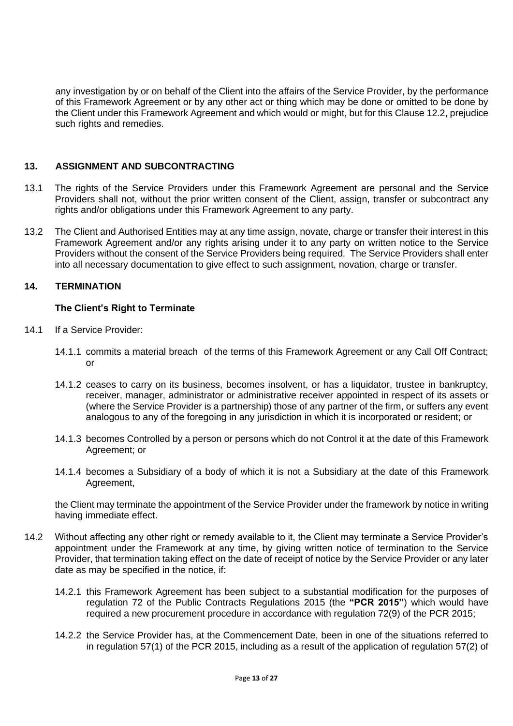any investigation by or on behalf of the Client into the affairs of the Service Provider, by the performance of this Framework Agreement or by any other act or thing which may be done or omitted to be done by the Client under this Framework Agreement and which would or might, but for this Clause 12.2, prejudice such rights and remedies.

# **13. ASSIGNMENT AND SUBCONTRACTING**

- 13.1 The rights of the Service Providers under this Framework Agreement are personal and the Service Providers shall not, without the prior written consent of the Client, assign, transfer or subcontract any rights and/or obligations under this Framework Agreement to any party.
- 13.2 The Client and Authorised Entities may at any time assign, novate, charge or transfer their interest in this Framework Agreement and/or any rights arising under it to any party on written notice to the Service Providers without the consent of the Service Providers being required. The Service Providers shall enter into all necessary documentation to give effect to such assignment, novation, charge or transfer.

# **14. TERMINATION**

# **The Client's Right to Terminate**

- 14.1 If a Service Provider:
	- 14.1.1 commits a material breach of the terms of this Framework Agreement or any Call Off Contract; or
	- 14.1.2 ceases to carry on its business, becomes insolvent, or has a liquidator, trustee in bankruptcy, receiver, manager, administrator or administrative receiver appointed in respect of its assets or (where the Service Provider is a partnership) those of any partner of the firm, or suffers any event analogous to any of the foregoing in any jurisdiction in which it is incorporated or resident; or
	- 14.1.3 becomes Controlled by a person or persons which do not Control it at the date of this Framework Agreement; or
	- 14.1.4 becomes a Subsidiary of a body of which it is not a Subsidiary at the date of this Framework Agreement,

the Client may terminate the appointment of the Service Provider under the framework by notice in writing having immediate effect.

- 14.2 Without affecting any other right or remedy available to it, the Client may terminate a Service Provider's appointment under the Framework at any time, by giving written notice of termination to the Service Provider, that termination taking effect on the date of receipt of notice by the Service Provider or any later date as may be specified in the notice, if:
	- 14.2.1 this Framework Agreement has been subject to a substantial modification for the purposes of regulation 72 of the Public Contracts Regulations 2015 (the **"PCR 2015"**) which would have required a new procurement procedure in accordance with regulation 72(9) of the PCR 2015;
	- 14.2.2 the Service Provider has, at the Commencement Date, been in one of the situations referred to in regulation 57(1) of the PCR 2015, including as a result of the application of regulation 57(2) of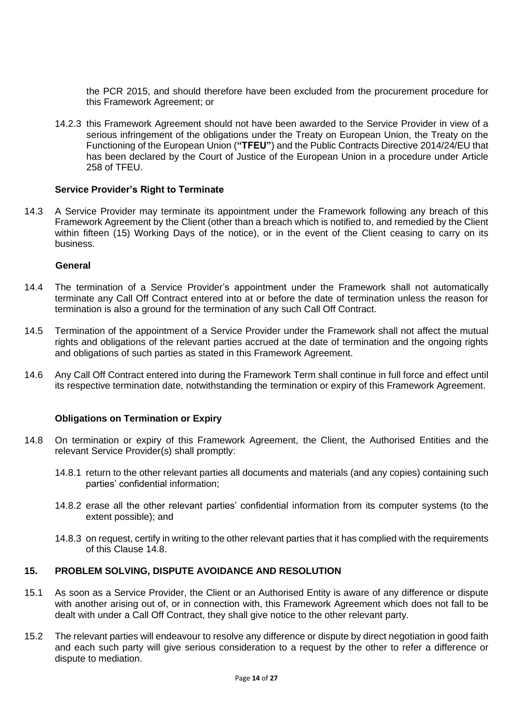the PCR 2015, and should therefore have been excluded from the procurement procedure for this Framework Agreement; or

14.2.3 this Framework Agreement should not have been awarded to the Service Provider in view of a serious infringement of the obligations under the Treaty on European Union, the Treaty on the Functioning of the European Union (**"TFEU"**) and the Public Contracts Directive 2014/24/EU that has been declared by the Court of Justice of the European Union in a procedure under Article 258 of TFEU.

#### **Service Provider's Right to Terminate**

14.3 A Service Provider may terminate its appointment under the Framework following any breach of this Framework Agreement by the Client (other than a breach which is notified to, and remedied by the Client within fifteen (15) Working Days of the notice), or in the event of the Client ceasing to carry on its business.

#### **General**

- 14.4 The termination of a Service Provider's appointment under the Framework shall not automatically terminate any Call Off Contract entered into at or before the date of termination unless the reason for termination is also a ground for the termination of any such Call Off Contract.
- 14.5 Termination of the appointment of a Service Provider under the Framework shall not affect the mutual rights and obligations of the relevant parties accrued at the date of termination and the ongoing rights and obligations of such parties as stated in this Framework Agreement.
- 14.6 Any Call Off Contract entered into during the Framework Term shall continue in full force and effect until its respective termination date, notwithstanding the termination or expiry of this Framework Agreement.

## **Obligations on Termination or Expiry**

- 14.8 On termination or expiry of this Framework Agreement, the Client, the Authorised Entities and the relevant Service Provider(s) shall promptly:
	- 14.8.1 return to the other relevant parties all documents and materials (and any copies) containing such parties' confidential information;
	- 14.8.2 erase all the other relevant parties' confidential information from its computer systems (to the extent possible); and
	- 14.8.3 on request, certify in writing to the other relevant parties that it has complied with the requirements of this Clause 14.8.

## **15. PROBLEM SOLVING, DISPUTE AVOIDANCE AND RESOLUTION**

- 15.1 As soon as a Service Provider, the Client or an Authorised Entity is aware of any difference or dispute with another arising out of, or in connection with, this Framework Agreement which does not fall to be dealt with under a Call Off Contract, they shall give notice to the other relevant party.
- 15.2 The relevant parties will endeavour to resolve any difference or dispute by direct negotiation in good faith and each such party will give serious consideration to a request by the other to refer a difference or dispute to mediation.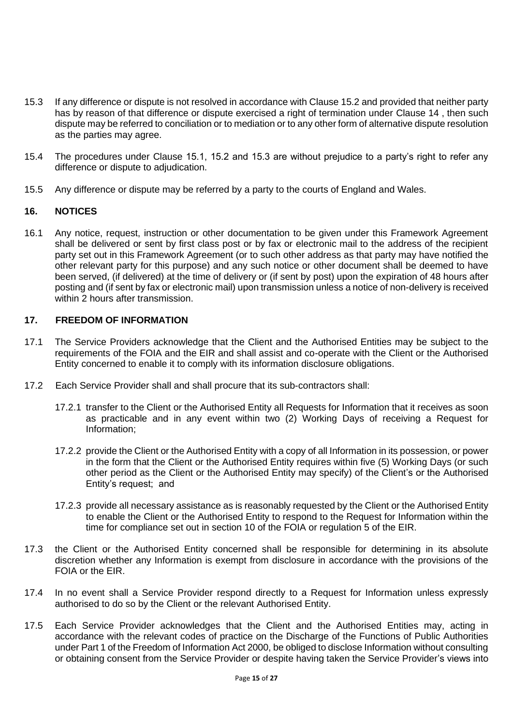- 15.3 If any difference or dispute is not resolved in accordance with Clause 15.2 and provided that neither party has by reason of that difference or dispute exercised a right of termination under Clause 14 , then such dispute may be referred to conciliation or to mediation or to any other form of alternative dispute resolution as the parties may agree.
- 15.4 The procedures under Clause 15.1, 15.2 and 15.3 are without prejudice to a party's right to refer any difference or dispute to adjudication.
- 15.5 Any difference or dispute may be referred by a party to the courts of England and Wales.

#### **16. NOTICES**

16.1 Any notice, request, instruction or other documentation to be given under this Framework Agreement shall be delivered or sent by first class post or by fax or electronic mail to the address of the recipient party set out in this Framework Agreement (or to such other address as that party may have notified the other relevant party for this purpose) and any such notice or other document shall be deemed to have been served, (if delivered) at the time of delivery or (if sent by post) upon the expiration of 48 hours after posting and (if sent by fax or electronic mail) upon transmission unless a notice of non-delivery is received within 2 hours after transmission.

### **17. FREEDOM OF INFORMATION**

- 17.1 The Service Providers acknowledge that the Client and the Authorised Entities may be subject to the requirements of the FOIA and the EIR and shall assist and co-operate with the Client or the Authorised Entity concerned to enable it to comply with its information disclosure obligations.
- 17.2 Each Service Provider shall and shall procure that its sub-contractors shall:
	- 17.2.1 transfer to the Client or the Authorised Entity all Requests for Information that it receives as soon as practicable and in any event within two (2) Working Days of receiving a Request for Information;
	- 17.2.2 provide the Client or the Authorised Entity with a copy of all Information in its possession, or power in the form that the Client or the Authorised Entity requires within five (5) Working Days (or such other period as the Client or the Authorised Entity may specify) of the Client's or the Authorised Entity's request; and
	- 17.2.3 provide all necessary assistance as is reasonably requested by the Client or the Authorised Entity to enable the Client or the Authorised Entity to respond to the Request for Information within the time for compliance set out in section 10 of the FOIA or regulation 5 of the EIR.
- 17.3 the Client or the Authorised Entity concerned shall be responsible for determining in its absolute discretion whether any Information is exempt from disclosure in accordance with the provisions of the FOIA or the EIR.
- 17.4 In no event shall a Service Provider respond directly to a Request for Information unless expressly authorised to do so by the Client or the relevant Authorised Entity.
- 17.5 Each Service Provider acknowledges that the Client and the Authorised Entities may, acting in accordance with the relevant codes of practice on the Discharge of the Functions of Public Authorities under Part 1 of the Freedom of Information Act 2000, be obliged to disclose Information without consulting or obtaining consent from the Service Provider or despite having taken the Service Provider's views into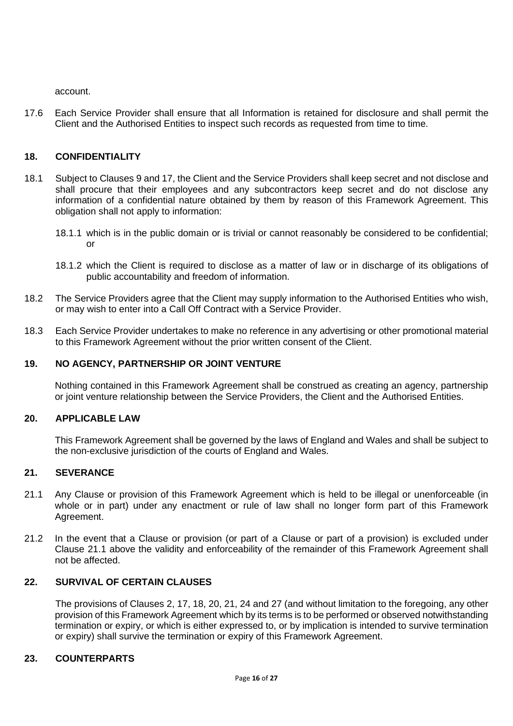account.

17.6 Each Service Provider shall ensure that all Information is retained for disclosure and shall permit the Client and the Authorised Entities to inspect such records as requested from time to time.

# **18. CONFIDENTIALITY**

- 18.1 Subject to Clauses 9 and 17, the Client and the Service Providers shall keep secret and not disclose and shall procure that their employees and any subcontractors keep secret and do not disclose any information of a confidential nature obtained by them by reason of this Framework Agreement. This obligation shall not apply to information:
	- 18.1.1 which is in the public domain or is trivial or cannot reasonably be considered to be confidential; or
	- 18.1.2 which the Client is required to disclose as a matter of law or in discharge of its obligations of public accountability and freedom of information.
- 18.2 The Service Providers agree that the Client may supply information to the Authorised Entities who wish, or may wish to enter into a Call Off Contract with a Service Provider.
- 18.3 Each Service Provider undertakes to make no reference in any advertising or other promotional material to this Framework Agreement without the prior written consent of the Client.

# **19. NO AGENCY, PARTNERSHIP OR JOINT VENTURE**

Nothing contained in this Framework Agreement shall be construed as creating an agency, partnership or joint venture relationship between the Service Providers, the Client and the Authorised Entities.

## **20. APPLICABLE LAW**

This Framework Agreement shall be governed by the laws of England and Wales and shall be subject to the non-exclusive jurisdiction of the courts of England and Wales.

## **21. SEVERANCE**

- 21.1 Any Clause or provision of this Framework Agreement which is held to be illegal or unenforceable (in whole or in part) under any enactment or rule of law shall no longer form part of this Framework Agreement.
- 21.2 In the event that a Clause or provision (or part of a Clause or part of a provision) is excluded under Clause 21.1 above the validity and enforceability of the remainder of this Framework Agreement shall not be affected.

## **22. SURVIVAL OF CERTAIN CLAUSES**

The provisions of Clauses 2, 17, 18, 20, 21, 24 and 27 (and without limitation to the foregoing, any other provision of this Framework Agreement which by its terms is to be performed or observed notwithstanding termination or expiry, or which is either expressed to, or by implication is intended to survive termination or expiry) shall survive the termination or expiry of this Framework Agreement.

# **23. COUNTERPARTS**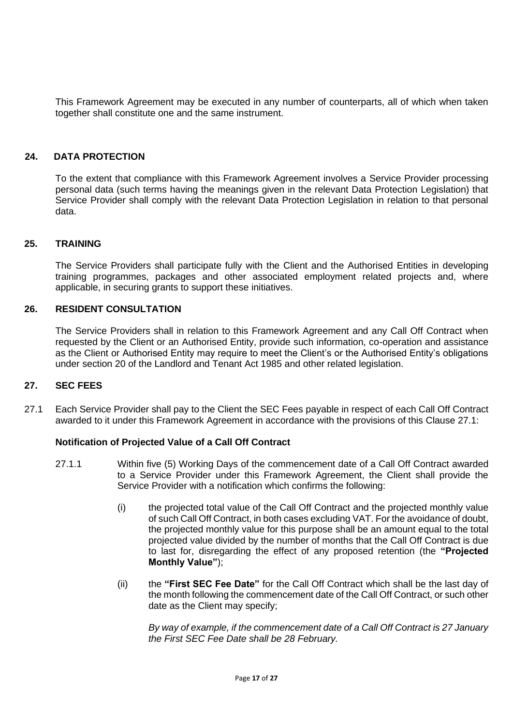This Framework Agreement may be executed in any number of counterparts, all of which when taken together shall constitute one and the same instrument.

#### **24. DATA PROTECTION**

To the extent that compliance with this Framework Agreement involves a Service Provider processing personal data (such terms having the meanings given in the relevant Data Protection Legislation) that Service Provider shall comply with the relevant Data Protection Legislation in relation to that personal data.

#### **25. TRAINING**

The Service Providers shall participate fully with the Client and the Authorised Entities in developing training programmes, packages and other associated employment related projects and, where applicable, in securing grants to support these initiatives.

#### **26. RESIDENT CONSULTATION**

The Service Providers shall in relation to this Framework Agreement and any Call Off Contract when requested by the Client or an Authorised Entity, provide such information, co-operation and assistance as the Client or Authorised Entity may require to meet the Client's or the Authorised Entity's obligations under section 20 of the Landlord and Tenant Act 1985 and other related legislation.

#### **27. SEC FEES**

27.1 Each Service Provider shall pay to the Client the SEC Fees payable in respect of each Call Off Contract awarded to it under this Framework Agreement in accordance with the provisions of this Clause 27.1:

#### **Notification of Projected Value of a Call Off Contract**

- 27.1.1 Within five (5) Working Days of the commencement date of a Call Off Contract awarded to a Service Provider under this Framework Agreement, the Client shall provide the Service Provider with a notification which confirms the following:
	- (i) the projected total value of the Call Off Contract and the projected monthly value of such Call Off Contract, in both cases excluding VAT. For the avoidance of doubt, the projected monthly value for this purpose shall be an amount equal to the total projected value divided by the number of months that the Call Off Contract is due to last for, disregarding the effect of any proposed retention (the **"Projected Monthly Value"**);
	- (ii) the **"First SEC Fee Date"** for the Call Off Contract which shall be the last day of the month following the commencement date of the Call Off Contract, or such other date as the Client may specify;

*By way of example, if the commencement date of a Call Off Contract is 27 January the First SEC Fee Date shall be 28 February.*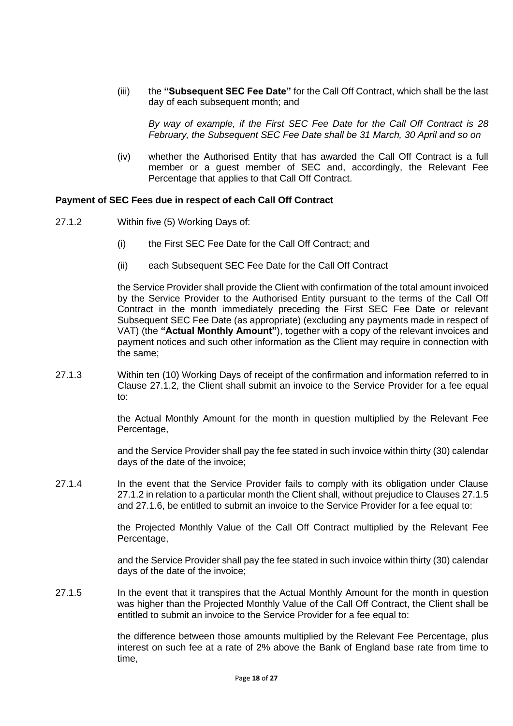(iii) the **"Subsequent SEC Fee Date"** for the Call Off Contract, which shall be the last day of each subsequent month; and

*By way of example, if the First SEC Fee Date for the Call Off Contract is 28 February, the Subsequent SEC Fee Date shall be 31 March, 30 April and so on*

(iv) whether the Authorised Entity that has awarded the Call Off Contract is a full member or a guest member of SEC and, accordingly, the Relevant Fee Percentage that applies to that Call Off Contract.

#### **Payment of SEC Fees due in respect of each Call Off Contract**

- 27.1.2 Within five (5) Working Days of:
	- (i) the First SEC Fee Date for the Call Off Contract; and
	- (ii) each Subsequent SEC Fee Date for the Call Off Contract

the Service Provider shall provide the Client with confirmation of the total amount invoiced by the Service Provider to the Authorised Entity pursuant to the terms of the Call Off Contract in the month immediately preceding the First SEC Fee Date or relevant Subsequent SEC Fee Date (as appropriate) (excluding any payments made in respect of VAT) (the **"Actual Monthly Amount"**), together with a copy of the relevant invoices and payment notices and such other information as the Client may require in connection with the same;

27.1.3 Within ten (10) Working Days of receipt of the confirmation and information referred to in Clause 27.1.2, the Client shall submit an invoice to the Service Provider for a fee equal to:

> the Actual Monthly Amount for the month in question multiplied by the Relevant Fee Percentage,

> and the Service Provider shall pay the fee stated in such invoice within thirty (30) calendar days of the date of the invoice;

27.1.4 In the event that the Service Provider fails to comply with its obligation under Clause 27.1.2 in relation to a particular month the Client shall, without prejudice to Clauses 27.1.5 and 27.1.6, be entitled to submit an invoice to the Service Provider for a fee equal to:

> the Projected Monthly Value of the Call Off Contract multiplied by the Relevant Fee Percentage,

> and the Service Provider shall pay the fee stated in such invoice within thirty (30) calendar days of the date of the invoice;

27.1.5 In the event that it transpires that the Actual Monthly Amount for the month in question was higher than the Projected Monthly Value of the Call Off Contract, the Client shall be entitled to submit an invoice to the Service Provider for a fee equal to:

> the difference between those amounts multiplied by the Relevant Fee Percentage, plus interest on such fee at a rate of 2% above the Bank of England base rate from time to time,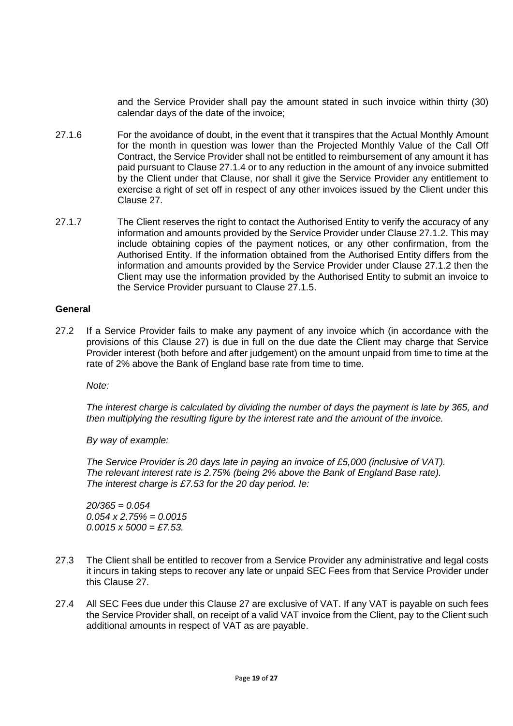and the Service Provider shall pay the amount stated in such invoice within thirty (30) calendar days of the date of the invoice;

- 27.1.6 For the avoidance of doubt, in the event that it transpires that the Actual Monthly Amount for the month in question was lower than the Projected Monthly Value of the Call Off Contract, the Service Provider shall not be entitled to reimbursement of any amount it has paid pursuant to Clause 27.1.4 or to any reduction in the amount of any invoice submitted by the Client under that Clause, nor shall it give the Service Provider any entitlement to exercise a right of set off in respect of any other invoices issued by the Client under this Clause 27.
- 27.1.7 The Client reserves the right to contact the Authorised Entity to verify the accuracy of any information and amounts provided by the Service Provider under Clause 27.1.2. This may include obtaining copies of the payment notices, or any other confirmation, from the Authorised Entity. If the information obtained from the Authorised Entity differs from the information and amounts provided by the Service Provider under Clause 27.1.2 then the Client may use the information provided by the Authorised Entity to submit an invoice to the Service Provider pursuant to Clause 27.1.5.

#### **General**

27.2 If a Service Provider fails to make any payment of any invoice which (in accordance with the provisions of this Clause 27) is due in full on the due date the Client may charge that Service Provider interest (both before and after judgement) on the amount unpaid from time to time at the rate of 2% above the Bank of England base rate from time to time.

*Note:*

*The interest charge is calculated by dividing the number of days the payment is late by 365, and then multiplying the resulting figure by the interest rate and the amount of the invoice.* 

*By way of example:* 

*The Service Provider is 20 days late in paying an invoice of £5,000 (inclusive of VAT). The relevant interest rate is 2.75% (being 2% above the Bank of England Base rate). The interest charge is £7.53 for the 20 day period. Ie:*

*20/365 = 0.054 0.054 x 2.75% = 0.0015 0.0015 x 5000 = £7.53.*

- 27.3 The Client shall be entitled to recover from a Service Provider any administrative and legal costs it incurs in taking steps to recover any late or unpaid SEC Fees from that Service Provider under this Clause 27.
- 27.4 All SEC Fees due under this Clause 27 are exclusive of VAT. If any VAT is payable on such fees the Service Provider shall, on receipt of a valid VAT invoice from the Client, pay to the Client such additional amounts in respect of VAT as are payable.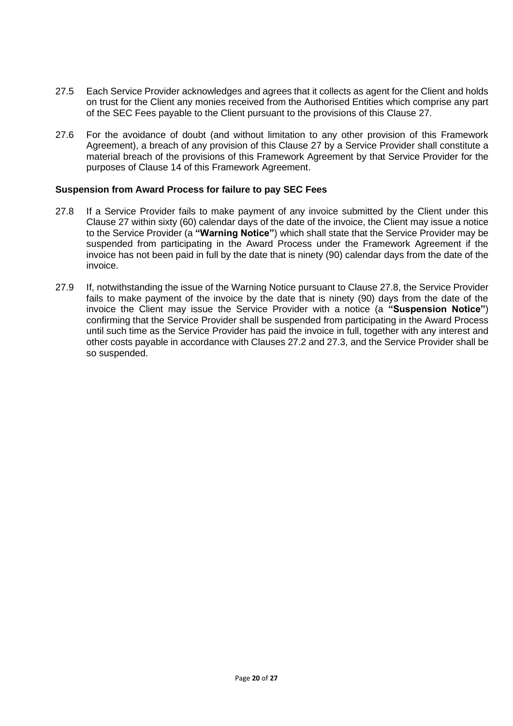- 27.5 Each Service Provider acknowledges and agrees that it collects as agent for the Client and holds on trust for the Client any monies received from the Authorised Entities which comprise any part of the SEC Fees payable to the Client pursuant to the provisions of this Clause 27.
- 27.6 For the avoidance of doubt (and without limitation to any other provision of this Framework Agreement), a breach of any provision of this Clause 27 by a Service Provider shall constitute a material breach of the provisions of this Framework Agreement by that Service Provider for the purposes of Clause 14 of this Framework Agreement.

#### **Suspension from Award Process for failure to pay SEC Fees**

- 27.8 If a Service Provider fails to make payment of any invoice submitted by the Client under this Clause 27 within sixty (60) calendar days of the date of the invoice, the Client may issue a notice to the Service Provider (a **"Warning Notice"**) which shall state that the Service Provider may be suspended from participating in the Award Process under the Framework Agreement if the invoice has not been paid in full by the date that is ninety (90) calendar days from the date of the invoice.
- 27.9 If, notwithstanding the issue of the Warning Notice pursuant to Clause 27.8, the Service Provider fails to make payment of the invoice by the date that is ninety (90) days from the date of the invoice the Client may issue the Service Provider with a notice (a **"Suspension Notice"**) confirming that the Service Provider shall be suspended from participating in the Award Process until such time as the Service Provider has paid the invoice in full, together with any interest and other costs payable in accordance with Clauses 27.2 and 27.3, and the Service Provider shall be so suspended.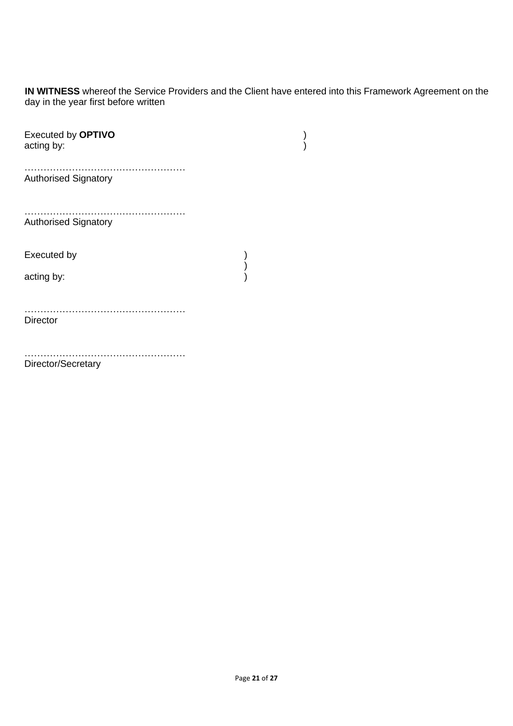**IN WITNESS** whereof the Service Providers and the Client have entered into this Framework Agreement on the day in the year first before written

| Executed by OPTIVO<br>acting by: |  |
|----------------------------------|--|
| <b>Authorised Signatory</b>      |  |
| <b>Authorised Signatory</b>      |  |
| Executed by                      |  |
| acting by:                       |  |
| <b>Director</b>                  |  |
| Director/Secretary               |  |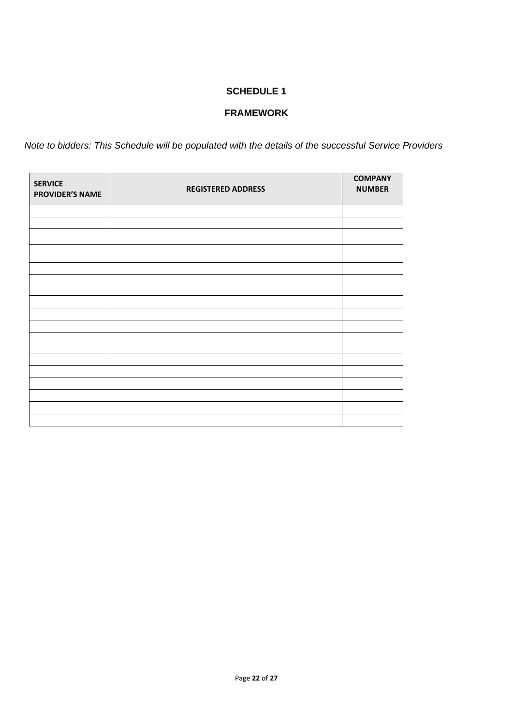# **FRAMEWORK**

*Note to bidders: This Schedule will be populated with the details of the successful Service Providers*

| <b>SERVICE</b><br><b>PROVIDER'S NAME</b> | <b>REGISTERED ADDRESS</b> | <b>COMPANY</b><br><b>NUMBER</b> |
|------------------------------------------|---------------------------|---------------------------------|
|                                          |                           |                                 |
|                                          |                           |                                 |
|                                          |                           |                                 |
|                                          |                           |                                 |
|                                          |                           |                                 |
|                                          |                           |                                 |
|                                          |                           |                                 |
|                                          |                           |                                 |
|                                          |                           |                                 |
|                                          |                           |                                 |
|                                          |                           |                                 |
|                                          |                           |                                 |
|                                          |                           |                                 |
|                                          |                           |                                 |
|                                          |                           |                                 |
|                                          |                           |                                 |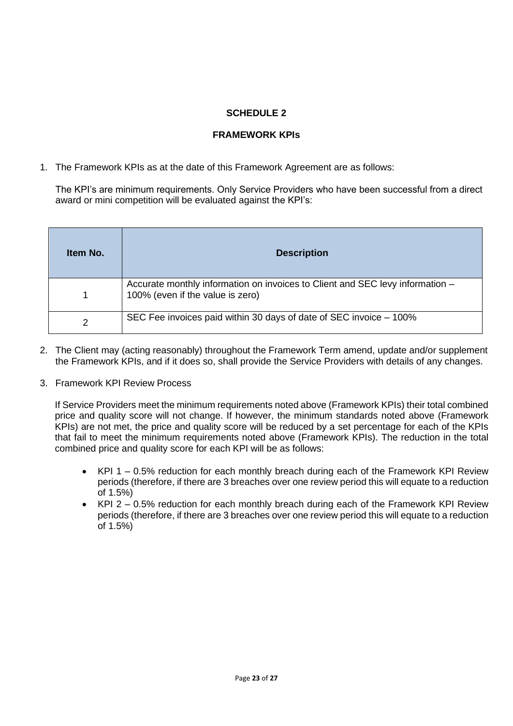# **FRAMEWORK KPIs**

1. The Framework KPIs as at the date of this Framework Agreement are as follows:

The KPI's are minimum requirements. Only Service Providers who have been successful from a direct award or mini competition will be evaluated against the KPI's:

| Item No. | <b>Description</b>                                                                                                |
|----------|-------------------------------------------------------------------------------------------------------------------|
| 1        | Accurate monthly information on invoices to Client and SEC levy information -<br>100% (even if the value is zero) |
| 2        | SEC Fee invoices paid within 30 days of date of SEC invoice – 100%                                                |

- 2. The Client may (acting reasonably) throughout the Framework Term amend, update and/or supplement the Framework KPIs, and if it does so, shall provide the Service Providers with details of any changes.
- 3. Framework KPI Review Process

If Service Providers meet the minimum requirements noted above (Framework KPIs) their total combined price and quality score will not change. If however, the minimum standards noted above (Framework KPIs) are not met, the price and quality score will be reduced by a set percentage for each of the KPIs that fail to meet the minimum requirements noted above (Framework KPIs). The reduction in the total combined price and quality score for each KPI will be as follows:

- KPI 1 0.5% reduction for each monthly breach during each of the Framework KPI Review periods (therefore, if there are 3 breaches over one review period this will equate to a reduction of 1.5%)
- KPI 2 0.5% reduction for each monthly breach during each of the Framework KPI Review periods (therefore, if there are 3 breaches over one review period this will equate to a reduction of 1.5%)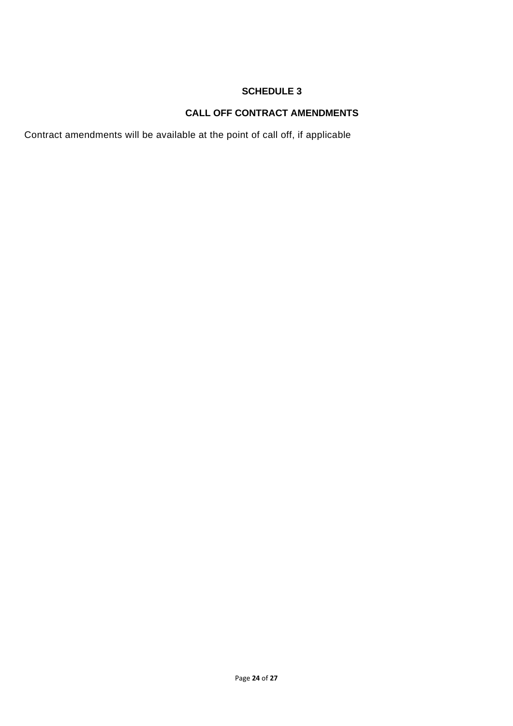# **CALL OFF CONTRACT AMENDMENTS**

Contract amendments will be available at the point of call off, if applicable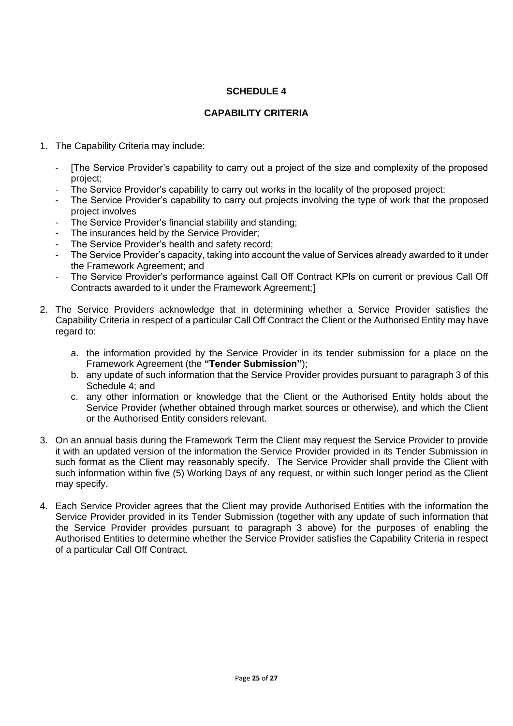# **CAPABILITY CRITERIA**

- 1. The Capability Criteria may include:
	- [The Service Provider's capability to carry out a project of the size and complexity of the proposed project;
	- The Service Provider's capability to carry out works in the locality of the proposed project;
	- The Service Provider's capability to carry out projects involving the type of work that the proposed project involves
	- The Service Provider's financial stability and standing;
	- The insurances held by the Service Provider;
	- The Service Provider's health and safety record:
	- The Service Provider's capacity, taking into account the value of Services already awarded to it under the Framework Agreement; and
	- The Service Provider's performance against Call Off Contract KPIs on current or previous Call Off Contracts awarded to it under the Framework Agreement;]
- 2. The Service Providers acknowledge that in determining whether a Service Provider satisfies the Capability Criteria in respect of a particular Call Off Contract the Client or the Authorised Entity may have regard to:
	- a. the information provided by the Service Provider in its tender submission for a place on the Framework Agreement (the **"Tender Submission"**);
	- b. any update of such information that the Service Provider provides pursuant to paragraph 3 of this Schedule 4; and
	- c. any other information or knowledge that the Client or the Authorised Entity holds about the Service Provider (whether obtained through market sources or otherwise), and which the Client or the Authorised Entity considers relevant.
- 3. On an annual basis during the Framework Term the Client may request the Service Provider to provide it with an updated version of the information the Service Provider provided in its Tender Submission in such format as the Client may reasonably specify. The Service Provider shall provide the Client with such information within five (5) Working Days of any request, or within such longer period as the Client may specify.
- 4. Each Service Provider agrees that the Client may provide Authorised Entities with the information the Service Provider provided in its Tender Submission (together with any update of such information that the Service Provider provides pursuant to paragraph 3 above) for the purposes of enabling the Authorised Entities to determine whether the Service Provider satisfies the Capability Criteria in respect of a particular Call Off Contract.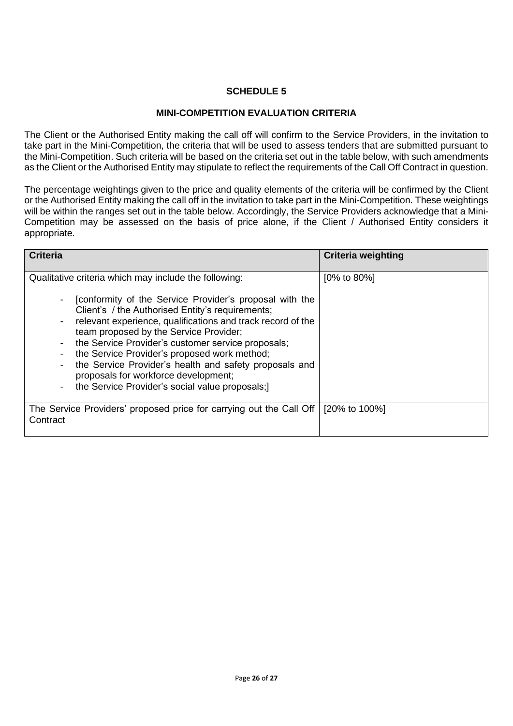## **MINI-COMPETITION EVALUATION CRITERIA**

The Client or the Authorised Entity making the call off will confirm to the Service Providers, in the invitation to take part in the Mini-Competition, the criteria that will be used to assess tenders that are submitted pursuant to the Mini-Competition. Such criteria will be based on the criteria set out in the table below, with such amendments as the Client or the Authorised Entity may stipulate to reflect the requirements of the Call Off Contract in question.

The percentage weightings given to the price and quality elements of the criteria will be confirmed by the Client or the Authorised Entity making the call off in the invitation to take part in the Mini-Competition. These weightings will be within the ranges set out in the table below. Accordingly, the Service Providers acknowledge that a Mini-Competition may be assessed on the basis of price alone, if the Client / Authorised Entity considers it appropriate.

| <b>Criteria</b>                                                                                                                                                                                                                                                                                                                                                                                                                                                                                                                          | <b>Criteria weighting</b> |
|------------------------------------------------------------------------------------------------------------------------------------------------------------------------------------------------------------------------------------------------------------------------------------------------------------------------------------------------------------------------------------------------------------------------------------------------------------------------------------------------------------------------------------------|---------------------------|
| Qualitative criteria which may include the following:<br>[conformity of the Service Provider's proposal with the<br>Client's / the Authorised Entity's requirements;<br>relevant experience, qualifications and track record of the<br>team proposed by the Service Provider;<br>the Service Provider's customer service proposals;<br>the Service Provider's proposed work method;<br>the Service Provider's health and safety proposals and<br>proposals for workforce development;<br>the Service Provider's social value proposals;) | $[0\% \text{ to } 80\%]$  |
| The Service Providers' proposed price for carrying out the Call Off<br>Contract                                                                                                                                                                                                                                                                                                                                                                                                                                                          | [20% to 100%]             |